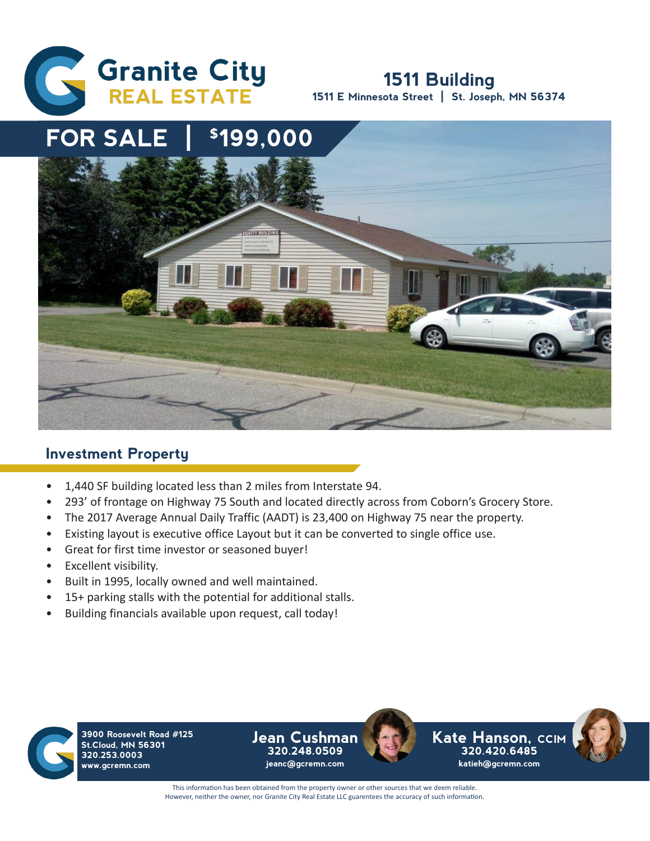

## **1511 Building 1511 E Minnesota Street | St. Joseph, MN 56374**



## **Investment Property**

- 1,440 SF building located less than 2 miles from Interstate 94.
- 293' of frontage on Highway 75 South and located directly across from Coborn's Grocery Store.
- The 2017 Average Annual Daily Traffic (AADT) is 23,400 on Highway 75 near the property.
- Existing layout is executive office Layout but it can be converted to single office use.
- Great for first time investor or seasoned buyer!
- Excellent visibility.
- Built in 1995, locally owned and well maintained.
- 15+ parking stalls with the potential for additional stalls.
- Building financials available upon request, call today!



**3900 Roosevelt Road #125 St.Cloud, MN 56301 320.253.0003 www.gcremn.com**

**Jean Cushman 320.248.0509 jeanc@gcremn.com**



This information has been obtained from the property owner or other sources that we deem reliable. However, neither the owner, nor Granite City Real Estate LLC guarentees the accuracy of such information.